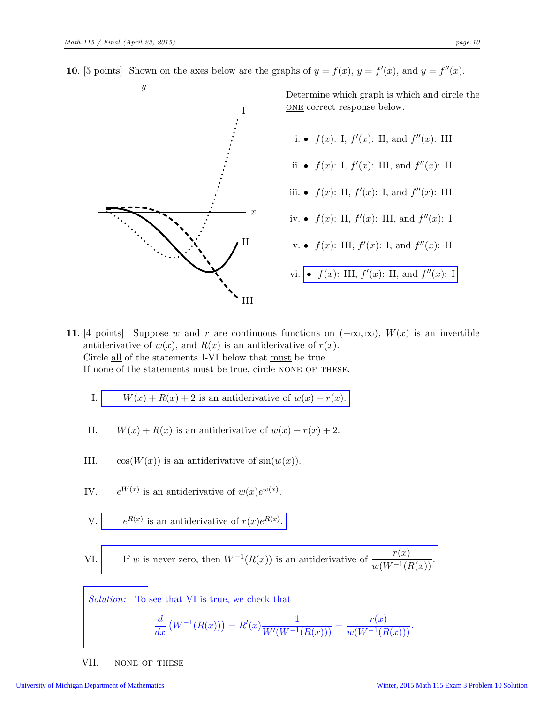10. [5 points] Shown on the axes below are the graphs of  $y = f(x)$ ,  $y = f'(x)$ , and  $y = f''(x)$ .



11. [4 points] Suppose w and r are continuous functions on  $(-\infty,\infty)$ ,  $W(x)$  is an invertible antiderivative of  $w(x)$ , and  $R(x)$  is an antiderivative of  $r(x)$ . Circle all of the statements I-VI below that must be true. If none of the statements must be true, circle NONE OF THESE.

I. 
$$
W(x) + R(x) + 2
$$
 is an antiderivative of  $w(x) + r(x)$ .

- II.  $W(x) + R(x)$  is an antiderivative of  $w(x) + r(x) + 2$ .
- III.  $\cos(W(x))$  is an antiderivative of  $\sin(w(x))$ .
- IV.  $e^{W(x)}$  is an antiderivative of  $w(x)e^{w(x)}$ .

V. 
$$
e^{R(x)}
$$
 is an antiderivative of  $r(x)e^{R(x)}$ .

VI. If w is never zero, then  $W^{-1}(R(x))$  is an antiderivative of  $\frac{r(x)}{w(W^{-1}(R(x))}$ .

Solution: To see that VI is true, we check that

$$
\frac{d}{dx}\left(W^{-1}(R(x))\right) = R'(x)\frac{1}{W'(W^{-1}(R(x)))} = \frac{r(x)}{w(W^{-1}(R(x)))}.
$$

VII. none of these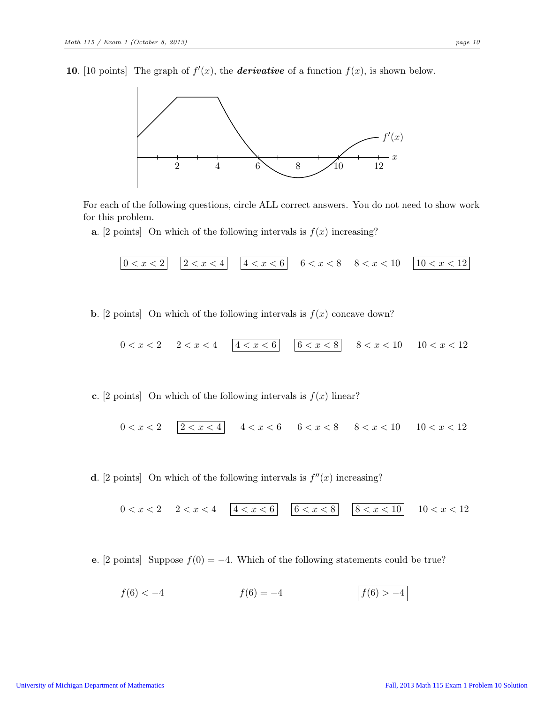10. [10 points] The graph of  $f'(x)$ , the **derivative** of a function  $f(x)$ , is shown below.



For each of the following questions, circle ALL correct answers. You do not need to show work for this problem.

**a.** [2 points] On which of the following intervals is  $f(x)$  increasing?

$$
\boxed{0 < x < 2} \quad \boxed{2 < x < 4} \quad \boxed{4 < x < 6} \quad 6 < x < 8 \quad 8 < x < 10 \quad \boxed{10 < x < 12}
$$

**b.** [2 points] On which of the following intervals is  $f(x)$  concave down?

$$
0 < x < 2 \quad 2 < x < 4 \quad \boxed{4 < x < 6} \quad \boxed{6 < x < 8} \quad 8 < x < 10 \quad 10 < x < 12
$$

c. [2 points] On which of the following intervals is  $f(x)$  linear?

$$
0 < x < 2 \quad \boxed{2 < x < 4} \quad 4 < x < 6 \quad 6 < x < 8 \quad 8 < x < 10 \quad 10 < x < 12
$$

**d**. [2 points] On which of the following intervals is  $f''(x)$  increasing?

$$
0 < x < 2 \quad 2 < x < 4 \quad \boxed{4 < x < 6} \quad \boxed{6 < x < 8} \quad \boxed{8 < x < 10} \quad 10 < x < 12
$$

e. [2 points] Suppose  $f(0) = -4$ . Which of the following statements could be true?

$$
f(6) < -4 \qquad \qquad f(6) = -4 \qquad \qquad \boxed{f(6) > -4}
$$